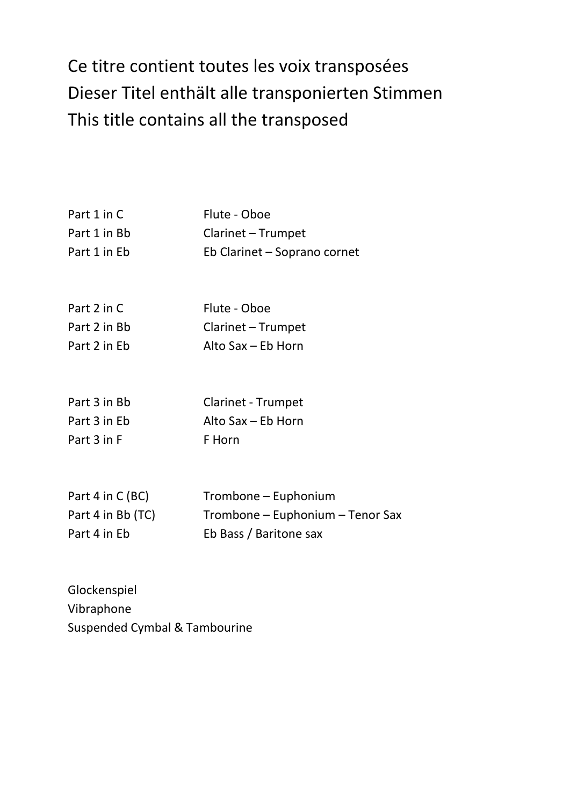## Ce titre contient toutes les voix transposées Dieser Titel enthält alle transponierten Stimmen This title contains all the transposed

| Part 1 in C  | Flute - Oboe                 |
|--------------|------------------------------|
| Part 1 in Bb | Clarinet - Trumpet           |
| Part 1 in Eb | Eb Clarinet - Soprano cornet |

| Part 2 in C  | Flute - Oboe       |
|--------------|--------------------|
| Part 2 in Bb | Clarinet - Trumpet |
| Part 2 in Eb | Alto Sax – Eb Horn |

| Part 3 in Bb | <b>Clarinet - Trumpet</b> |
|--------------|---------------------------|
| Part 3 in Eb | Alto Sax – Eb Horn        |
| Part 3 in F  | F Horn                    |

| Part 4 in $C(BC)$ | Trombone – Euphonium             |
|-------------------|----------------------------------|
| Part 4 in Bb (TC) | Trombone – Euphonium – Tenor Sax |
| Part 4 in Eb      | Eb Bass / Baritone sax           |

Glockenspiel Vibraphone Suspended Cymbal & Tambourine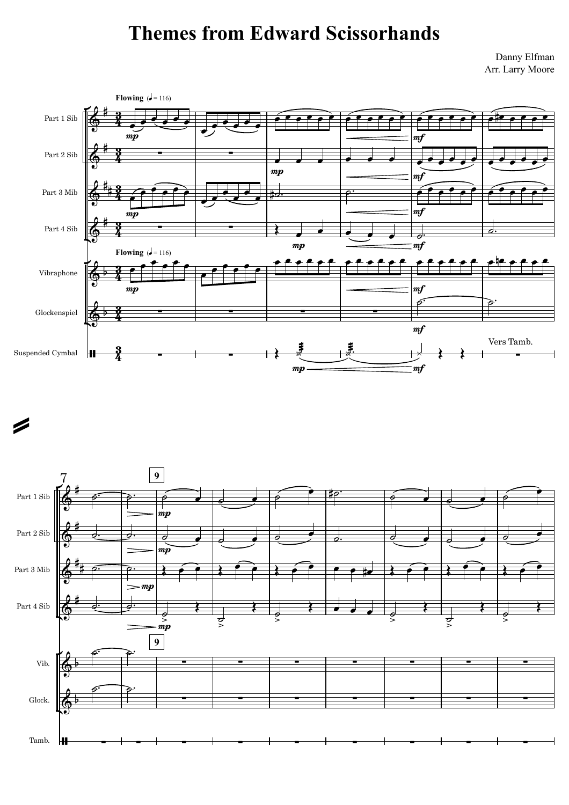## Themes from Edward Scissorhands

Danny Elfman Arr. Larry Moore



 $\boldsymbol{\mathscr{D}}$ 

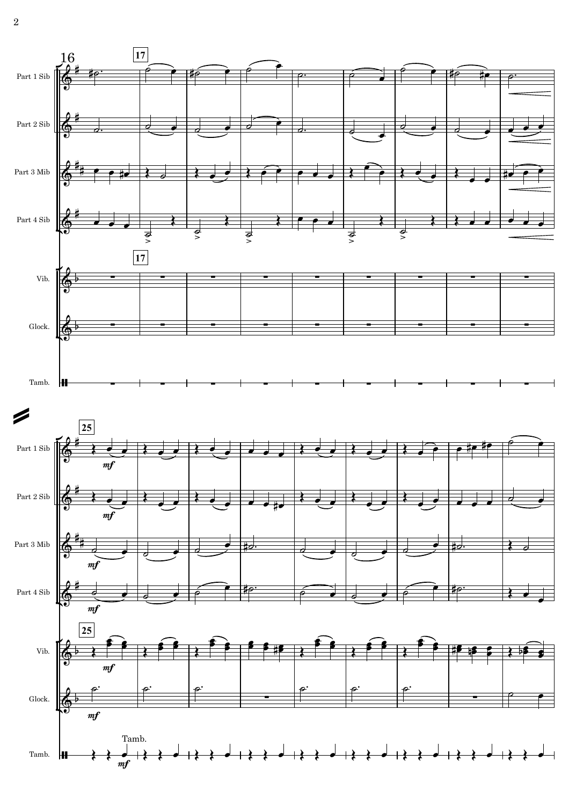